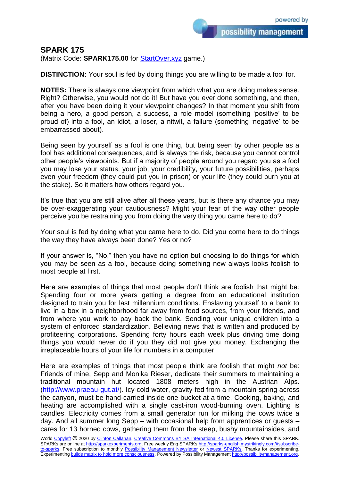possibility management

**SPARK 175**

(Matrix Code: **SPARK175.00** for **StartOver.xyz** game.)

**DISTINCTION:** Your soul is fed by doing things you are willing to be made a fool for.

**NOTES:** There is always one viewpoint from which what you are doing makes sense. Right? Otherwise, you would not do it! But have you ever done something, and then, after you have been doing it your viewpoint changes? In that moment you shift from being a hero, a good person, a success, a role model (something 'positive' to be proud of) into a fool, an idiot, a loser, a nitwit, a failure (something 'negative' to be embarrassed about).

Being seen by yourself as a fool is one thing, but being seen by other people as a fool has additional consequences, and is always the risk, because you cannot control other people's viewpoints. But if a majority of people around you regard you as a fool you may lose your status, your job, your credibility, your future possibilities, perhaps even your freedom (they could put you in prison) or your life (they could burn you at the stake). So it matters how others regard you.

It's true that you are still alive after all these years, but is there any chance you may be over-exaggerating your cautiousness? Might your fear of the way other people perceive you be restraining you from doing the very thing you came here to do?

Your soul is fed by doing what you came here to do. Did you come here to do things the way they have always been done? Yes or no?

If your answer is, "No," then you have no option but choosing to do things for which you may be seen as a fool, because doing something new always looks foolish to most people at first.

Here are examples of things that most people don't think are foolish that might be: Spending four or more years getting a degree from an educational institution designed to train you for last millennium conditions. Enslaving yourself to a bank to live in a box in a neighborhood far away from food sources, from your friends, and from where you work to pay back the bank. Sending your unique children into a system of enforced standardization. Believing news that is written and produced by profiteering corporations. Spending forty hours each week plus driving time doing things you would never do if you they did not give you money. Exchanging the irreplaceable hours of your life for numbers in a computer.

Here are examples of things that most people think are foolish that might *not* be: Friends of mine, Sepp and Monika Rieser, dedicate their summers to maintaining a traditional mountain hut located 1808 meters high in the Austrian Alps. [\(http://www.praeau-gut.at/\)](http://www.praeau-gut.at/). Icy-cold water, gravity-fed from a mountain spring across the canyon, must be hand-carried inside one bucket at a time. Cooking, baking, and heating are accomplished with a single cast-iron wood-burning oven. Lighting is candles. Electricity comes from a small generator run for milking the cows twice a day. And all summer long Sepp – with occasional help from apprentices or guests – cares for 13 horned cows, gathering them from the steep, bushy mountainsides, and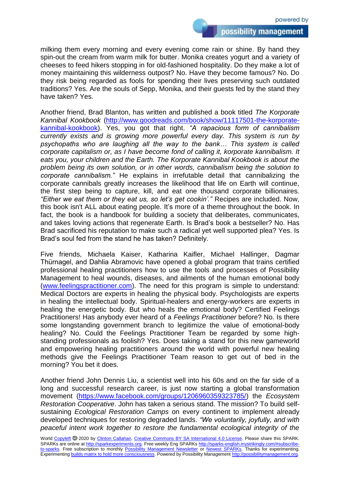possibility management

milking them every morning and every evening come rain or shine. By hand they spin-out the cream from warm milk for butter. Monika creates yogurt and a variety of cheeses to feed hikers stopping in for old-fashioned hospitality. Do they make a lot of money maintaining this wilderness outpost? No. Have they become famous? No. Do they risk being regarded as fools for spending their lives preserving such outdated traditions? Yes. Are the souls of Sepp, Monika, and their guests fed by the stand they have taken? Yes.

Another friend, Brad Blanton, has written and published a book titled *The Korporate Kannibal Kookbook* [\(http://www.goodreads.com/book/show/11117501-the-korporate](http://www.goodreads.com/book/show/11117501-the-korporate-kannibal-kookbook)[kannibal-kookbook\)](http://www.goodreads.com/book/show/11117501-the-korporate-kannibal-kookbook). Yes, you got that right. *"A rapacious form of cannibalism currently exists and is growing more powerful every day. This system is run by psychopaths who are laughing all the way to the bank… This system is called corporate capitalism or, as I have become fond of calling it, korporate kannibalism. It eats you, your children and the Earth. The Korporate Kannibal Kookbook is about the problem being its own solution, or in other words, cannibalism being the solution to corporate cannibalism."* He explains in irrefutable detail that cannibalizing the corporate cannibals greatly increases the likelihood that life on Earth will continue, the first step being to capture, kill, and eat one thousand corporate billionaires*. "Either we eat them or they eat us, so let's get cookin'."* Recipes are included. Now, this book isn't ALL about eating people. It's more of a theme throughout the book. In fact, the book is a handbook for building a society that deliberates, communicates, and takes loving actions that regenerate Earth. Is Brad's book a bestseller? No. Has Brad sacrificed his reputation to make such a radical yet well supported plea? Yes. Is Brad's soul fed from the stand he has taken? Definitely.

Five friends, Michaela Kaiser, Katharina Kaifler, Michael Hallinger, Dagmar Thürnagel, and Dahlia Abramovic have opened a global program that trains certified professional healing practitioners how to use the tools and processes of Possibility Management to heal wounds, diseases, and ailments of the human emotional body [\(www.feelingspractitioner.com\)](http://www.feelingspractitioner.com/). The need for this program is simple to understand: Medical Doctors are experts in healing the physical body. Psychologists are experts in healing the intellectual body. Spiritual-healers and energy-workers are experts in healing the energetic body. But who heals the emotional body? Certified Feelings Practitioners! Has anybody ever heard of a *Feelings Practitioner* before? No. Is there some longstanding government branch to legitimize the value of emotional-body healing? No. Could the Feelings Practitioner Team be regarded by some highstanding professionals as foolish? Yes. Does taking a stand for this new gameworld and empowering healing practitioners around the world with powerful new healing methods give the Feelings Practitioner Team reason to get out of bed in the morning? You bet it does.

Another friend John Dennis Liu, a scientist well into his 60s and on the far side of a long and successful research career, is just now starting a global transformation movement [\(https://www.facebook.com/groups/1206960359323785/\)](https://www.facebook.com/groups/1206960359323785/) the *Ecosystem Restoration Cooperative*. John has taken a serious stand. The mission? To build selfsustaining *Ecological Restoration Camps* on every continent to implement already developed techniques for restoring degraded lands. *"We voluntarily, joyfully, and with peaceful intent work together to restore the fundamental ecological integrity of the*